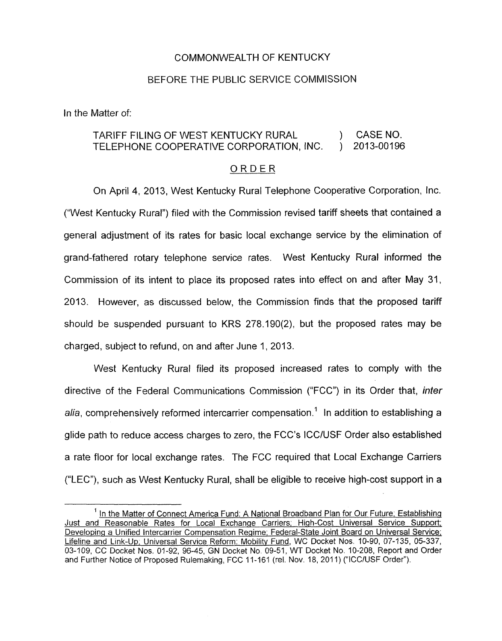## COMMONWEALTH OF KENTUCKY

## BEFORE THE PUBLIC SERVICE COMMlSSlON

In the Matter of:

## TARIFF FILING OF WEST KENTUCKY RURAL (CASE NO.<br>TELEPHONE COOPERATIVE CORPORATION, INC. (2013-00196) TELEPHONE COOPERATIVE CORPORATION, INC.

## ORDER

On April 4, 2013, West Kentucky Rural Telephone Cooperative Corporation, Inc. ("West Kentucky Rural") filed with the Commission revised tariff sheets that contained a general adjustment of its rates for basic local exchange service by the elimination of grand-fathered rotary telephone service rates. West Kentucky Rural informed the Commission of its intent to place its proposed rates into effect on and after May 31, 2013. However, as discussed below, the Commission finds that the proposed tariff should be suspended pursuant to KRS 278.190(2), but the proposed rates may be charged, subject to refund, on and after June I, 2013.

West Kentucky Rural filed its proposed increased rates to comply with the directive of the Federal Communications Commission ("FCC") in its Order that, *inter alia,* comprehensively reformed intercarrier compensation.' In addition to establishing a glide path to reduce access charges to zero, the FCC's ICClUSF Order also established a rate floor for local exchange rates. The FCC required that Local Exchange Carriers ("LEC"), such as West Kentucky Rural, shall be eligible to receive high-cost support in a

<sup>&</sup>lt;sup>1</sup> In the Matter of Connect America Fund: A National Broadband Plan for Our Future; Establishing Just and Reasonable Rates for Local Exchange Carriers; High-Cost Universal Service Support; Developing a Unified Intercarrier Compensation Regime; Federal-State Joint Board on Universal Service; Lifeline and Link-Up; Universal Service Reform: Mobility Fund, WC Docket Nos. 10-90, 07-135, 05-337, 03-109, CC Docket Nos. 01-92, 96-45, GN Docket No 09-51, WT Docket No. 10-208, Report and Order and Further Notice of Proposed Rulemaking, FCC 11-161 (rel. Nov. 18, 2011) ("ICC/USF Order").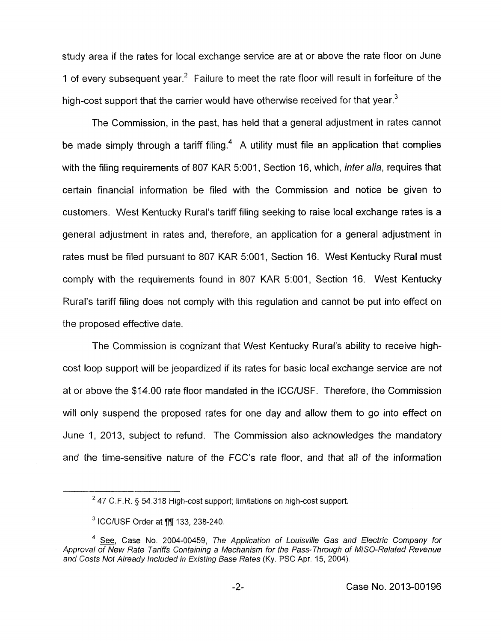study area if the rates for local exchange service are at or above the rate floor on June 1 of every subsequent year.<sup>2</sup> Failure to meet the rate floor will result in forfeiture of the high-cost support that the carrier would have otherwise received for that year.<sup>3</sup>

The Commission, in the past, has held that a general adjustment in rates cannot be made simply through a tariff filing.<sup>4</sup> A utility must file an application that complies with the filing requirements of 807 KAR 5:001, Section 16, which, *inter alia*, requires that certain financial information be filed with the Commission and notice be given to customers. West Kentucky Rural's tariff filing seeking to raise local exchange rates is a general adjustment in rates and, therefore, an application for a general adjustment in rates must be filed pursuant to 807 KAR 5:001, Section 16. West Kentucky Rural must comply with the requirements found in 807 KAR 5:001, Section 16. West Kentucky Rural's tariff filing does not comply with this regulation and cannot be put into effect on the proposed effective date.

The Commission is cognizant that West Kentucky Rural's ability to receive highcost loop support will be jeopardized if its rates for basic local exchange service are not at or above the \$14.00 rate floor mandated in the ICC/USF. Therefore, the Commission will only suspend the proposed rates for one day and allow them to go into effect on June 1, 2013, subject to refund. The Commission also acknowledges the mandatory and the time-sensitive nature of the FCC's rate floor, and that all *of* the information

<sup>47</sup> C.F.R. *5* 54.318 *Htgh-cost* support; *limitations on high-cost* support. *<sup>2</sup>*

ICC/USF Order *at 77* 133,238-240

<sup>&</sup>lt;sup>4</sup> See, Case No. 2004-00459, The Application of Louisville Gas and Electric Company for Approval of New Rate Tariffs Containing a Mechanism for the Pass-Through of MISO-Related Revenue and Costs Not Already Included in Existing Base Rates (Ky. PSC Apr. 15, 2004).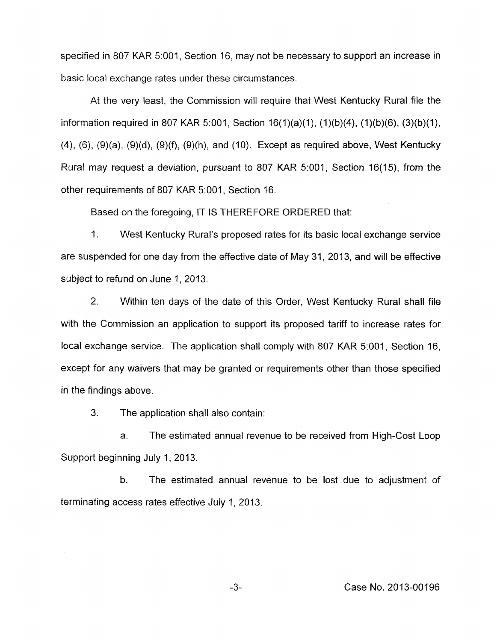specified in 807 KAR 5:001, Section 16, may not be necessary to support an increase in basic local exchange rates under these circumstances.

At the very least, the Commission will require that West Kentucky Rural file the information required in 807 KAR 5:001, Section  $16(1)(a)(1)$ ,  $(1)(b)(4)$ ,  $(1)(b)(6)$ ,  $(3)(b)(1)$ , **(4),** (6), (9)(a), (9)(d), (9)(f), (9)(h), and (IO). Except as required above, West Kentucky Rural may request a deviation, pursuant to 807 KAR 5:001, Section 16(15), from the other requirements of 807 KAR 5:001, Section 16.

Based on the foregoing, IT IS THEREFORE ORDERED that:

1. West Kentucky Rural's proposed rates for its basic local exchange service are suspended for one day from the effective date of May 31, 2013, and will be effective subject to refund on June 1, 2013.

2. Within ten days of the date of this Order, West Kentucky Rural shall file with the Commission an application to support its proposed tariff to increase rates for local exchange service. The application shall comply with 807 KAR 5:001, Section 16, except for any waivers that may be granted or requirements other than those specified in the findings above.

**3.** The application shall also contain:

a. The estimated annual revenue to be received from High-Cost Loop Support beginning July 1, 2013.

b. The estimated annual revenue to be lost due to adjustment of terminating access rates effective July 1, 2013.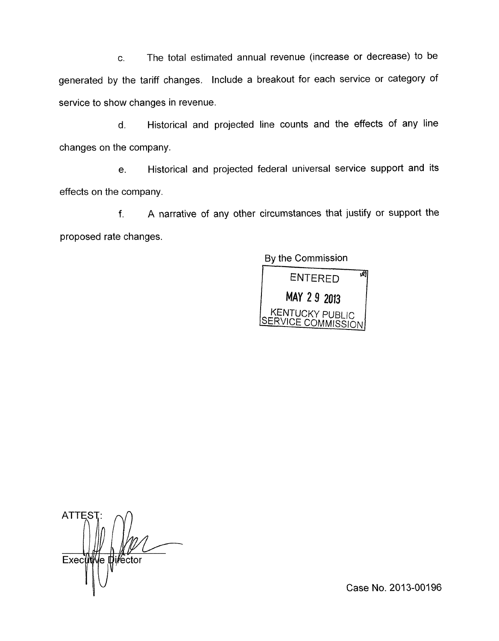c. The total estimated annual revenue (increase or decrease) to be generated by the tariff changes. Include a breakout for each service or category of service to show changes in revenue.

d. Historical and projected line counts and the effects of any line changes on the company.

e. Historical and projected federal universal service support and its effects on the company.

f. A narrative of any other circumstances that justify or support the proposed rate changes.

By the Commission

网 **ENTERED** MAY 2 9 2013 KENTUCKY PUBLIC<br>SERVICE COMMISSION

**ATTEST** Exectitive tilector

Case No. 2013-00196